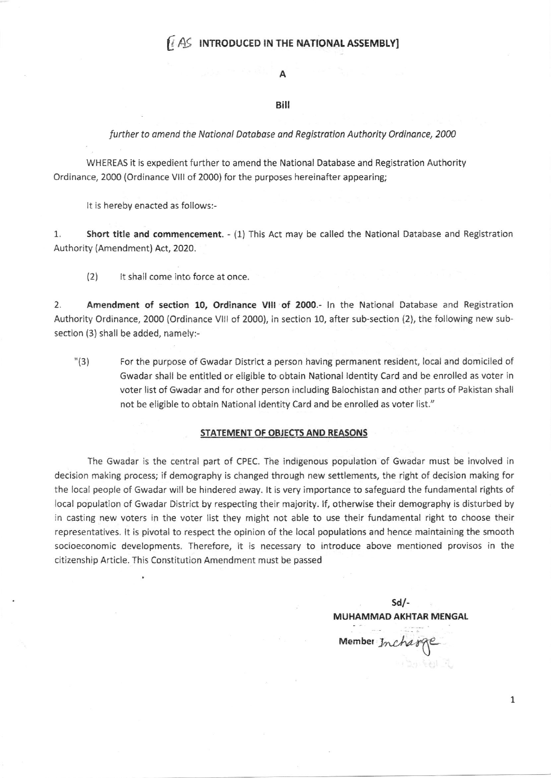# $[4]$  INTRODUCED IN THE NATIONAL ASSEMBLY]

#### A

### Bill

#### further to amend the National Database and Registration Authority Ordinance, 2000

WHEREAS it is expedient further to amend the National Database and Registration Authority Ordinance, 2000 {Ordinance Vlll of 2000) for the purposes hereinafter appearing;

It is hereby enacted as follows:-

1. Short title and commencement. - (1) This Act may be called the National Database and Registration Authority (Amendment) Act, 2020.

(2) It shall come into force at once.

2. Amendment of section 10, Ordinance VIII of 2000.- In the National Database and Registration Authority Ordinance, 2000 (Ordinance Vlll of 2000), in section 10, after sub-section (2), the following new subsection (3) shall be added, namely:-

'(3 ) For the purpose of Gwadar District a person having permanent resident, local and domiciled of Gwadar shall be entitled or eligible to obtain National ldentity Card and be enrolled as voter in voter list of Gwadar and for other person including Balochistan and other parts of Pakistan shall not be eligible to obtain National ldentity Card and be enrolled as voter list."

#### STATEMENT OF OBJECTSAND REASONS

The Gwadar is the central part of CPEC. The indigenous population of Gwadar must be involved in decision making process; if demography is changed through new settlements, the right of decision making for the Iocal people of Gwadar will be hindered away. lt is very importance to safeguard the fundamental rights of local population of Gwadar District by respecting their majority. lf, otherwise their demography is disturbed by in casting new voters in the voter list they rnight not able to use their fundamental right to choose their representatives, lt is pivotal to respect the opinion of the local populations and hence maintaining the smooth socioeconomic developments. Therefore, it is necessary to introduce above mentioned provisos in the citizenship Article. This Constitution Amendment must be passed

sdl-MUHAMMAD AKHTAR MENGAL

Member Incharge